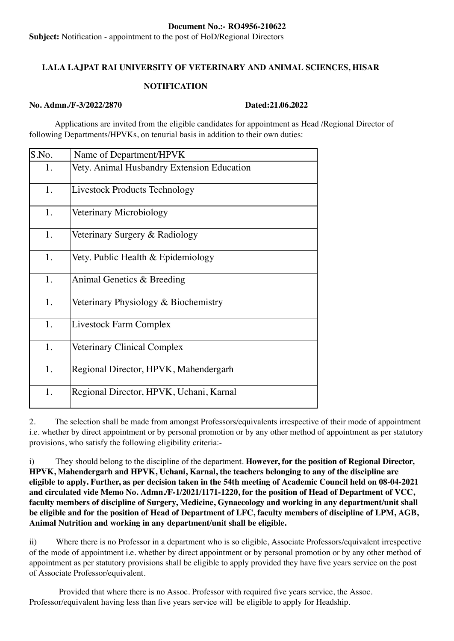#### Document No.:- RO4956-210622

Subject: Notification - appointment to the post of HoD/Regional Directors

### LALA LAJPAT RAI UNIVERSITY OF VETERINARY AND ANIMAL SCIENCES, HISAR

### **NOTIFICATION**

#### No. Admn./F-3/2022/2870 Dated:21.06.2022

 Applications are invited from the eligible candidates for appointment as Head /Regional Director of following Departments/HPVKs, on tenurial basis in addition to their own duties:

| S.No. | Name of Department/HPVK                    |
|-------|--------------------------------------------|
| 1.    | Vety. Animal Husbandry Extension Education |
| 1.    | Livestock Products Technology              |
| 1.    | Veterinary Microbiology                    |
| 1.    | Veterinary Surgery & Radiology             |
| 1.    | Vety. Public Health & Epidemiology         |
| 1.    | Animal Genetics & Breeding                 |
| 1.    | Veterinary Physiology & Biochemistry       |
| 1.    | Livestock Farm Complex                     |
| 1.    | Veterinary Clinical Complex                |
| 1.    | Regional Director, HPVK, Mahendergarh      |
| 1.    | Regional Director, HPVK, Uchani, Karnal    |

2. The selection shall be made from amongst Professors/equivalents irrespective of their mode of appointment i.e. whether by direct appointment or by personal promotion or by any other method of appointment as per statutory provisions, who satisfy the following eligibility criteria:-

i) They should belong to the discipline of the department. However, for the position of Regional Director, HPVK, Mahendergarh and HPVK, Uchani, Karnal, the teachers belonging to any of the discipline are eligible to apply. Further, as per decision taken in the 54th meeting of Academic Council held on 08-04-2021 and circulated vide Memo No. Admn./F-1/2021/1171-1220, for the position of Head of Department of VCC, faculty members of discipline of Surgery, Medicine, Gynaecology and working in any department/unit shall be eligible and for the position of Head of Department of LFC, faculty members of discipline of LPM, AGB, Animal Nutrition and working in any department/unit shall be eligible.

ii) Where there is no Professor in a department who is so eligible, Associate Professors/equivalent irrespective of the mode of appointment i.e. whether by direct appointment or by personal promotion or by any other method of appointment as per statutory provisions shall be eligible to apply provided they have five years service on the post of Associate Professor/equivalent.

 Provided that where there is no Assoc. Professor with required five years service, the Assoc. Professor/equivalent having less than five years service will be eligible to apply for Headship.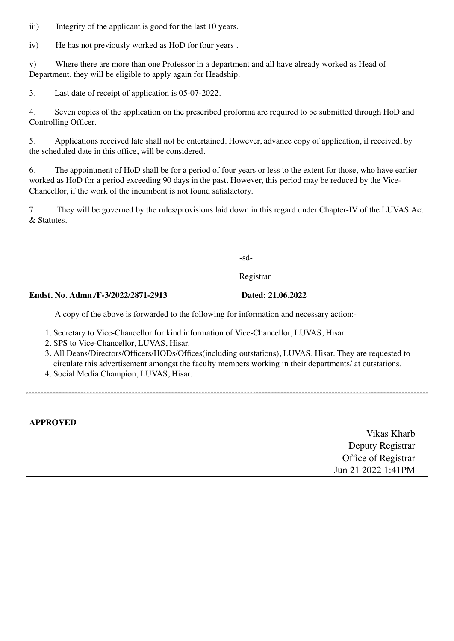iii) Integrity of the applicant is good for the last 10 years.

iv) He has not previously worked as HoD for four years.

v) Where there are more than one Professor in a department and all have already worked as Head of Department, they will be eligible to apply again for Headship.

3. Last date of receipt of application is 05-07-2022.

4. Seven copies of the application on the prescribed proforma are required to be submitted through HoD and Controlling Officer.

5. Applications received late shall not be entertained. However, advance copy of application, if received, by the scheduled date in this office, will be considered.

6. The appointment of HoD shall be for a period of four years or less to the extent for those, who have earlier worked as HoD for a period exceeding 90 days in the past. However, this period may be reduced by the Vice-Chancellor, if the work of the incumbent is not found satisfactory.

7. They will be governed by the rules/provisions laid down in this regard under Chapter-IV of the LUVAS Act & Statutes.

-sd-

Registrar

### Endst. No. Admn./F-3/2022/2871-2913 Dated: 21.06.2022

A copy of the above is forwarded to the following for information and necessary action:-

- 1. Secretary to Vice-Chancellor for kind information of Vice-Chancellor, LUVAS, Hisar.
- 2. SPS to Vice-Chancellor, LUVAS, Hisar.
- 3. All Deans/Directors/Officers/HODs/Offices(including outstations), LUVAS, Hisar. They are requested to circulate this advertisement amongst the faculty members working in their departments/ at outstations.
- 4. Social Media Champion, LUVAS, Hisar.

APPROVED

Vikas Kharb Deputy Registrar Office of Registrar Jun 21 2022 1:41PM